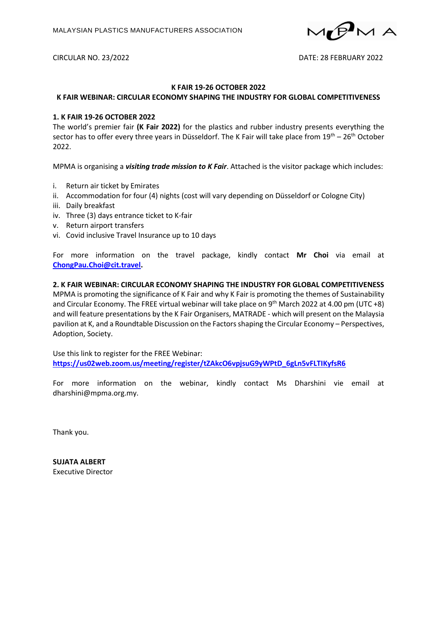

#### CIRCULAR NO. 23/2022 DATE: 28 FEBRUARY 2022

# **K FAIR 19-26 OCTOBER 2022**

## **K FAIR WEBINAR: CIRCULAR ECONOMY SHAPING THE INDUSTRY FOR GLOBAL COMPETITIVENESS**

## **1. K FAIR 19-26 OCTOBER 2022**

The world's premier fair **(K Fair 2022)** for the plastics and rubber industry presents everything the sector has to offer every three years in Düsseldorf. The K Fair will take place from 19<sup>th</sup> – 26<sup>th</sup> October 2022.

MPMA is organising a *visiting trade mission to K Fair*. Attached is the visitor package which includes:

- i. Return air ticket by Emirates
- ii. Accommodation for four (4) nights (cost will vary depending on Düsseldorf or Cologne City)
- iii. Daily breakfast
- iv. Three (3) days entrance ticket to K-fair
- v. Return airport transfers
- vi. Covid inclusive Travel Insurance up to 10 days

For more information on the travel package, kindly contact **Mr Choi** via email at **[ChongPau.Choi@cit.travel.](mailto:ChongPau.Choi@cit.travel)**

## **2. K FAIR WEBINAR: CIRCULAR ECONOMY SHAPING THE INDUSTRY FOR GLOBAL COMPETITIVENESS**

MPMA is promoting the significance of K Fair and why K Fair is promoting the themes of Sustainability and Circular Economy. The FREE virtual webinar will take place on 9<sup>th</sup> March 2022 at 4.00 pm (UTC +8) and will feature presentations by the K Fair Organisers, MATRADE - which will present on the Malaysia pavilion at K, and a Roundtable Discussion on the Factors shaping the Circular Economy – Perspectives, Adoption, Society.

Use this link to register for the FREE Webinar: **https://us02web.zoom.us/meeting/register/tZAkcO6vpjsuG9yWPtD\_6gLn5vFLTIKyfsR6**

For more information on the webinar, kindly contact Ms Dharshini vie email at dharshini@mpma.org.my.

Thank you.

**SUJATA ALBERT** Executive Director